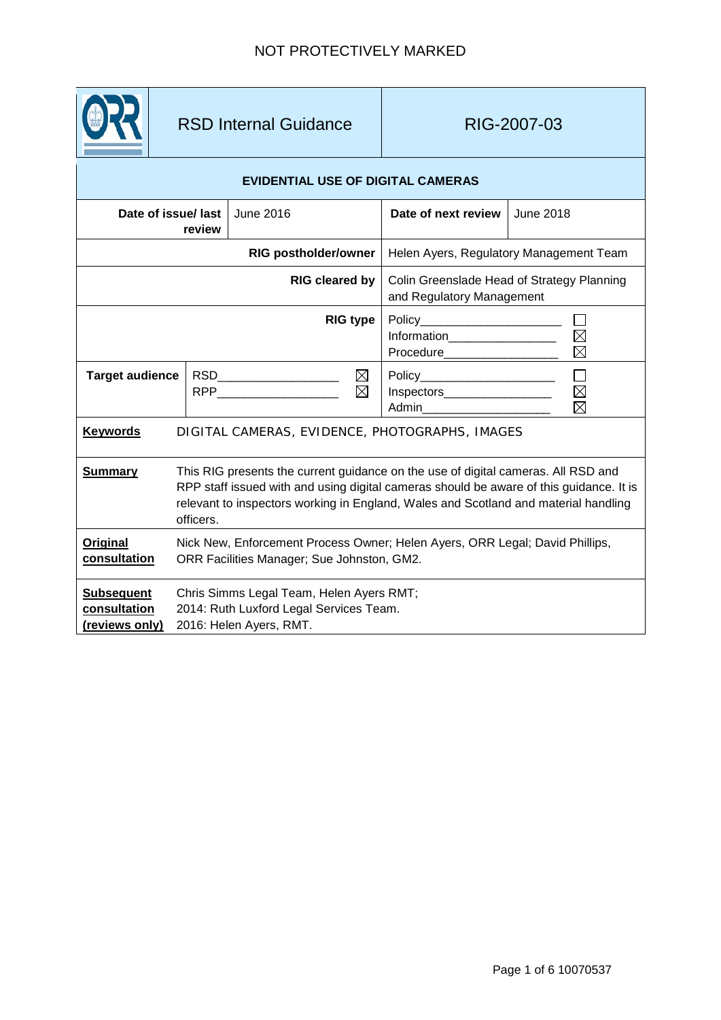

# RSD Internal Guidance | RIG-2007-03

## **EVIDENTIAL USE OF DIGITAL CAMERAS**

|                                                     | Date of issue/ last<br>review                                                                                                                                                                                                                                                    | June 2016                                         | Date of next review                                                     | June 2018             |
|-----------------------------------------------------|----------------------------------------------------------------------------------------------------------------------------------------------------------------------------------------------------------------------------------------------------------------------------------|---------------------------------------------------|-------------------------------------------------------------------------|-----------------------|
| <b>RIG postholder/owner</b>                         |                                                                                                                                                                                                                                                                                  |                                                   | Helen Ayers, Regulatory Management Team                                 |                       |
| <b>RIG cleared by</b>                               |                                                                                                                                                                                                                                                                                  |                                                   | Colin Greenslade Head of Strategy Planning<br>and Regulatory Management |                       |
| <b>RIG type</b>                                     |                                                                                                                                                                                                                                                                                  |                                                   | Information__________________<br>Procedure___________________           | $\boxtimes$           |
| <b>Target audience</b>                              |                                                                                                                                                                                                                                                                                  | $\boxtimes$<br>$\boxtimes$<br>RPP________________ | Policy________________________<br>Inspectors                            | $\Box$<br>$\boxtimes$ |
| <b>Keywords</b>                                     | DIGITAL CAMERAS, EVIDENCE, PHOTOGRAPHS, IMAGES                                                                                                                                                                                                                                   |                                                   |                                                                         |                       |
| <b>Summary</b>                                      | This RIG presents the current guidance on the use of digital cameras. All RSD and<br>RPP staff issued with and using digital cameras should be aware of this guidance. It is<br>relevant to inspectors working in England, Wales and Scotland and material handling<br>officers. |                                                   |                                                                         |                       |
| Original<br>consultation                            | Nick New, Enforcement Process Owner; Helen Ayers, ORR Legal; David Phillips,<br>ORR Facilities Manager; Sue Johnston, GM2.                                                                                                                                                       |                                                   |                                                                         |                       |
| <b>Subsequent</b><br>consultation<br>(reviews only) | Chris Simms Legal Team, Helen Ayers RMT;<br>2014: Ruth Luxford Legal Services Team.<br>2016: Helen Ayers, RMT.                                                                                                                                                                   |                                                   |                                                                         |                       |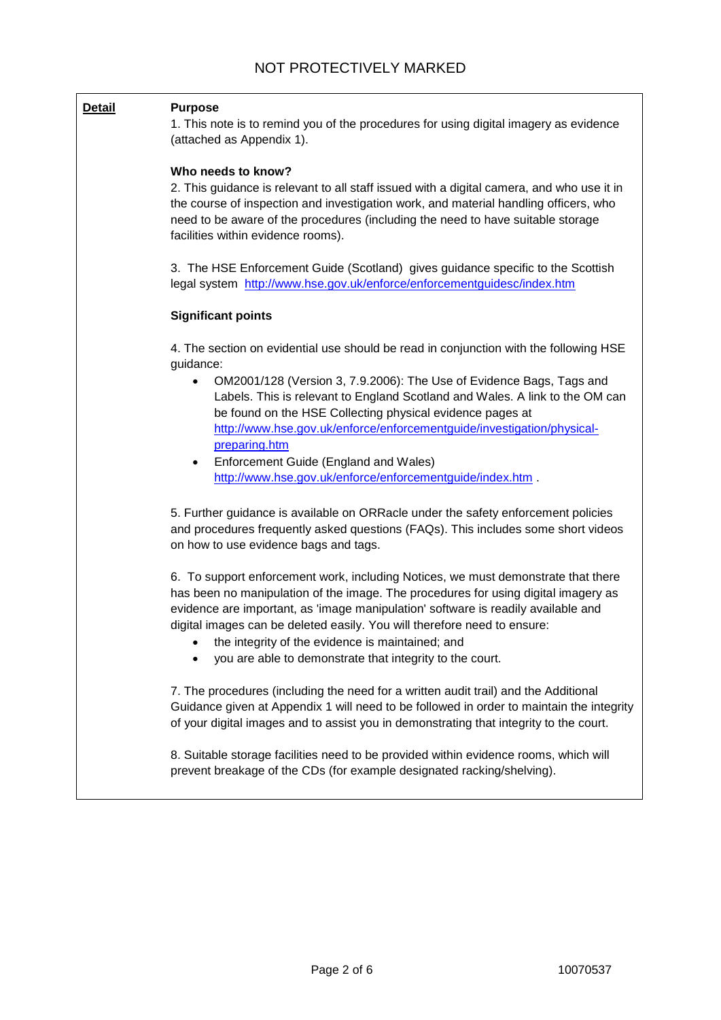#### **Detail Purpose**

1. This note is to remind you of the procedures for using digital imagery as evidence (attached as Appendix 1).

#### **Who needs to know?**

2. This guidance is relevant to all staff issued with a digital camera, and who use it in the course of inspection and investigation work, and material handling officers, who need to be aware of the procedures (including the need to have suitable storage facilities within evidence rooms).

3. The HSE Enforcement Guide (Scotland) gives guidance specific to the Scottish legal system <http://www.hse.gov.uk/enforce/enforcementguidesc/index.htm>

#### **Significant points**

4. The section on evidential use should be read in conjunction with the following HSE guidance:

- OM2001/128 (Version 3, 7.9.2006): The Use of Evidence Bags, Tags and Labels. This is relevant to England Scotland and Wales. A link to the OM can be found on the HSE Collecting physical evidence pages at [http://www.hse.gov.uk/enforce/enforcementguide/investigation/physical](http://www.hse.gov.uk/enforce/enforcementguide/investigation/physical-preparing.htm)[preparing.htm](http://www.hse.gov.uk/enforce/enforcementguide/investigation/physical-preparing.htm)
- Enforcement Guide (England and Wales) <http://www.hse.gov.uk/enforce/enforcementguide/index.htm> .

5. Further guidance is available on ORRacle under the safety enforcement policies and procedures frequently asked questions (FAQs). This includes some short videos on how to use evidence bags and tags.

6. To support enforcement work, including Notices, we must demonstrate that there has been no manipulation of the image. The procedures for using digital imagery as evidence are important, as 'image manipulation' software is readily available and digital images can be deleted easily. You will therefore need to ensure:

- the integrity of the evidence is maintained; and
- you are able to demonstrate that integrity to the court.

7. The procedures (including the need for a written audit trail) and the Additional Guidance given at Appendix 1 will need to be followed in order to maintain the integrity of your digital images and to assist you in demonstrating that integrity to the court.

8. Suitable storage facilities need to be provided within evidence rooms, which will prevent breakage of the CDs (for example designated racking/shelving).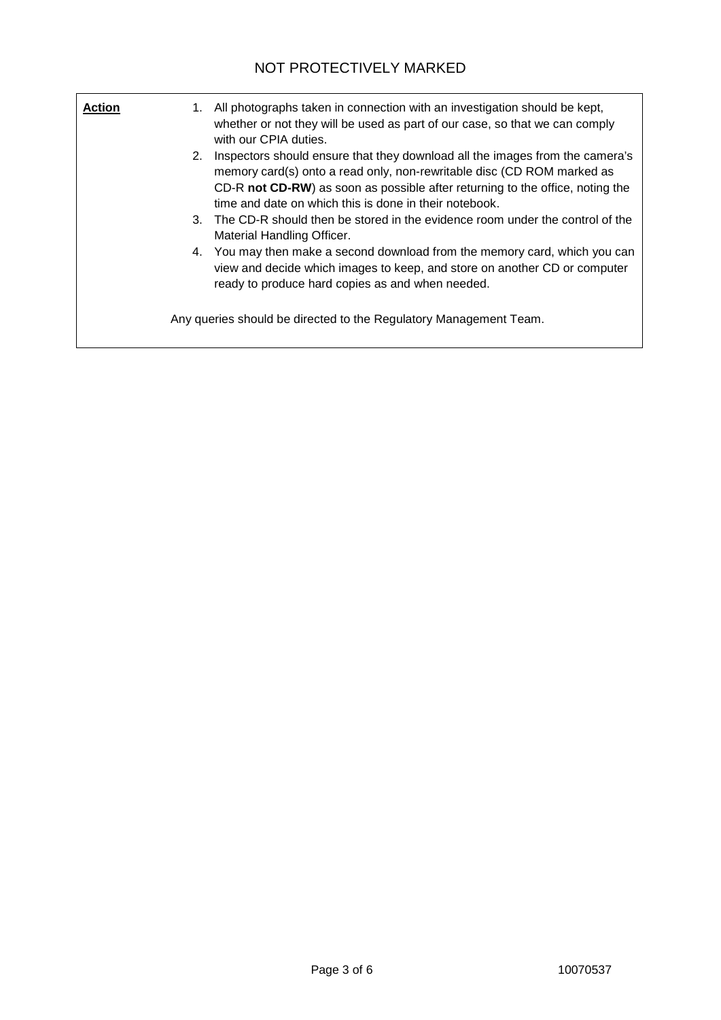| <b>Action</b> | All photographs taken in connection with an investigation should be kept,<br>1.<br>whether or not they will be used as part of our case, so that we can comply<br>with our CPIA duties.                                                                                                                 |
|---------------|---------------------------------------------------------------------------------------------------------------------------------------------------------------------------------------------------------------------------------------------------------------------------------------------------------|
|               | Inspectors should ensure that they download all the images from the camera's<br>2.<br>memory card(s) onto a read only, non-rewritable disc (CD ROM marked as<br>CD-R not CD-RW) as soon as possible after returning to the office, noting the<br>time and date on which this is done in their notebook. |
|               | 3. The CD-R should then be stored in the evidence room under the control of the<br>Material Handling Officer.                                                                                                                                                                                           |
|               | 4. You may then make a second download from the memory card, which you can<br>view and decide which images to keep, and store on another CD or computer<br>ready to produce hard copies as and when needed.                                                                                             |
|               | Any queries should be directed to the Regulatory Management Team.                                                                                                                                                                                                                                       |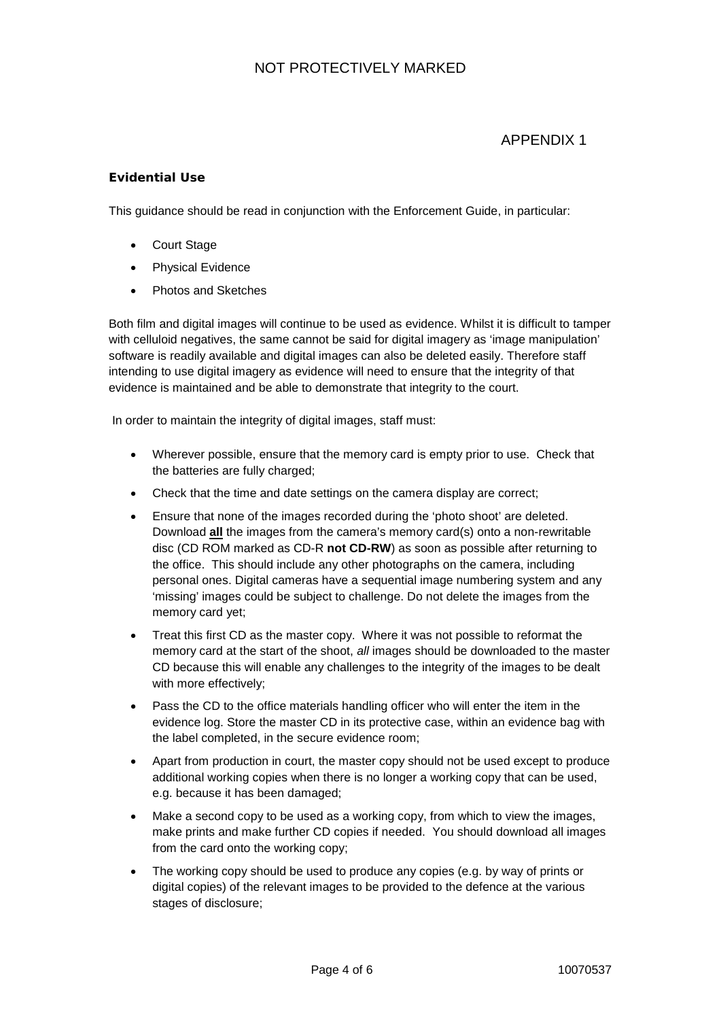# NOT PROTECTIVELY MARKED

# APPENDIX 1

### **Evidential Use**

This guidance should be read in conjunction with the Enforcement Guide, in particular:

- Court Stage
- Physical Evidence
- Photos and Sketches

Both film and digital images will continue to be used as evidence. Whilst it is difficult to tamper with celluloid negatives, the same cannot be said for digital imagery as 'image manipulation' software is readily available and digital images can also be deleted easily. Therefore staff intending to use digital imagery as evidence will need to ensure that the integrity of that evidence is maintained and be able to demonstrate that integrity to the court.

In order to maintain the integrity of digital images, staff must:

- Wherever possible, ensure that the memory card is empty prior to use. Check that the batteries are fully charged;
- Check that the time and date settings on the camera display are correct;
- Ensure that none of the images recorded during the 'photo shoot' are deleted. Download **all** the images from the camera's memory card(s) onto a non-rewritable disc (CD ROM marked as CD-R **not CD-RW**) as soon as possible after returning to the office. This should include any other photographs on the camera, including personal ones. Digital cameras have a sequential image numbering system and any 'missing' images could be subject to challenge. Do not delete the images from the memory card yet;
- Treat this first CD as the master copy. Where it was not possible to reformat the memory card at the start of the shoot, *all* images should be downloaded to the master CD because this will enable any challenges to the integrity of the images to be dealt with more effectively;
- Pass the CD to the office materials handling officer who will enter the item in the evidence log. Store the master CD in its protective case, within an evidence bag with the label completed, in the secure evidence room;
- Apart from production in court, the master copy should not be used except to produce additional working copies when there is no longer a working copy that can be used, e.g. because it has been damaged;
- Make a second copy to be used as a working copy, from which to view the images, make prints and make further CD copies if needed. You should download all images from the card onto the working copy;
- The working copy should be used to produce any copies (e.g. by way of prints or digital copies) of the relevant images to be provided to the defence at the various stages of disclosure;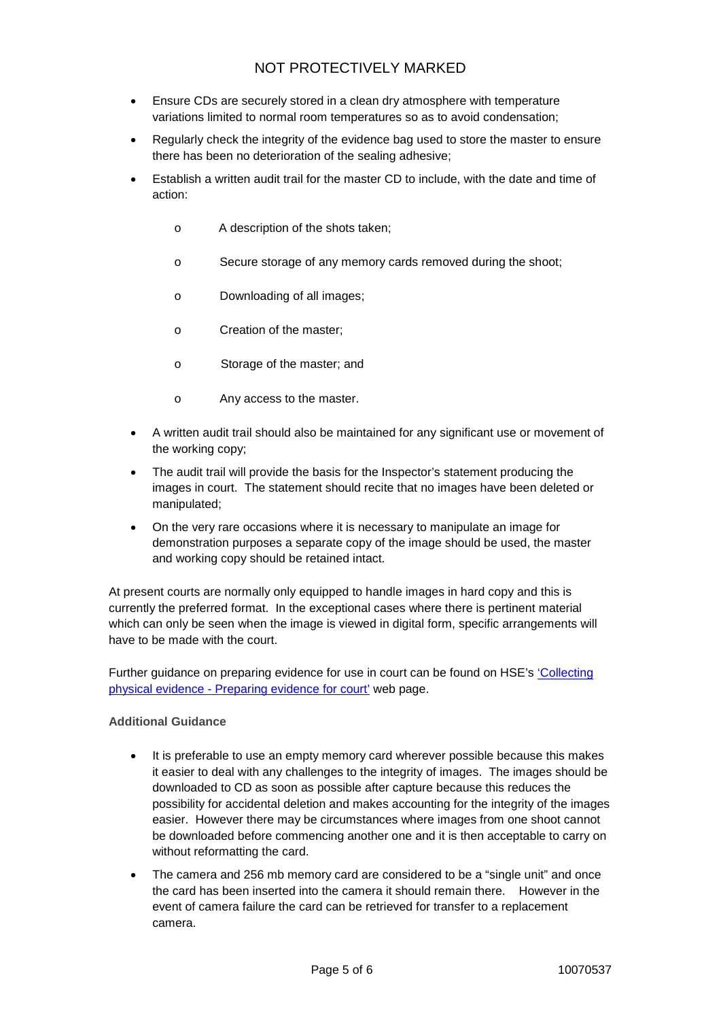# NOT PROTECTIVELY MARKED

- Ensure CDs are securely stored in a clean dry atmosphere with temperature variations limited to normal room temperatures so as to avoid condensation;
- Regularly check the integrity of the evidence bag used to store the master to ensure there has been no deterioration of the sealing adhesive;
- Establish a written audit trail for the master CD to include, with the date and time of action:
	- o A description of the shots taken;
	- o Secure storage of any memory cards removed during the shoot;
	- o Downloading of all images;
	- o Creation of the master;
	- o Storage of the master; and
	- o Any access to the master.
- A written audit trail should also be maintained for any significant use or movement of the working copy;
- The audit trail will provide the basis for the Inspector's statement producing the images in court. The statement should recite that no images have been deleted or manipulated;
- On the very rare occasions where it is necessary to manipulate an image for demonstration purposes a separate copy of the image should be used, the master and working copy should be retained intact.

At present courts are normally only equipped to handle images in hard copy and this is currently the preferred format. In the exceptional cases where there is pertinent material which can only be seen when the image is viewed in digital form, specific arrangements will have to be made with the court.

Further guidance on preparing evidence for use in court can be found on HSE's ['Collecting](http://www.hse.gov.uk/enforce/enforcementguide/investigation/physical-preparing.htm)  physical evidence - [Preparing evidence for court'](http://www.hse.gov.uk/enforce/enforcementguide/investigation/physical-preparing.htm) web page.

#### **Additional Guidance**

- It is preferable to use an empty memory card wherever possible because this makes it easier to deal with any challenges to the integrity of images. The images should be downloaded to CD as soon as possible after capture because this reduces the possibility for accidental deletion and makes accounting for the integrity of the images easier. However there may be circumstances where images from one shoot cannot be downloaded before commencing another one and it is then acceptable to carry on without reformatting the card.
- The camera and 256 mb memory card are considered to be a "single unit" and once the card has been inserted into the camera it should remain there. However in the event of camera failure the card can be retrieved for transfer to a replacement camera.